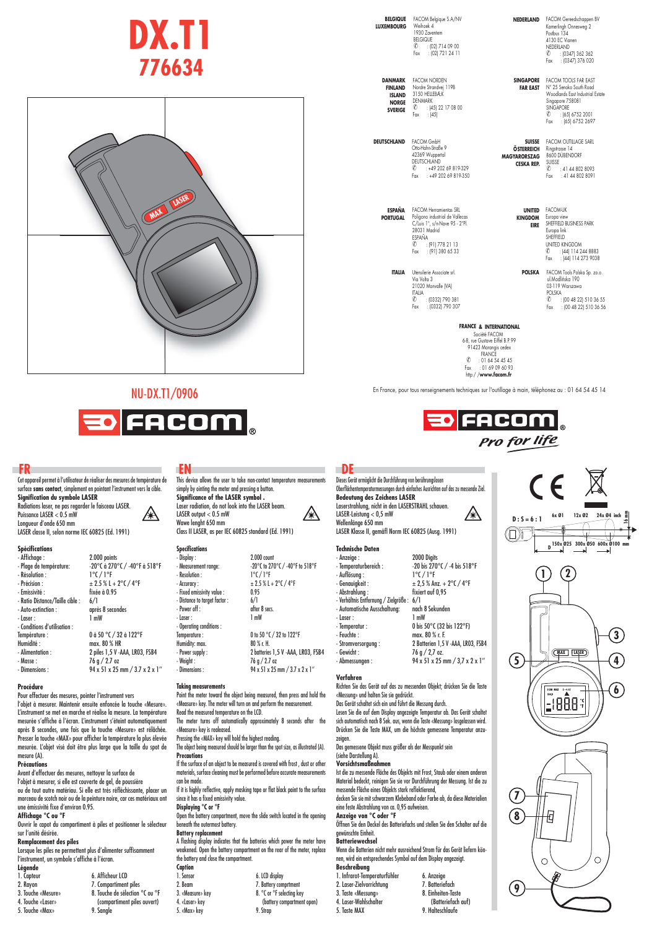# **DX.T1 776634**



## NU-DX.T1/0906

 $\mathbb{A}$ 



Cet appareil permet à l'utilisateur de réaliser des mesures de température de surface **sans contact**, simplement en pointant l'instrument vers la cible. **Signifi cation du symbole LASER**

Radiations laser, ne pas regarder le faisceau LASER. Puissance LASER < 0.5 mW Longueur d'onde 650 mm LASER classe II, selon norme IEC 60825 (Ed. 1991)

## **Spécifi cations**

| -------------                   |                                                   |
|---------------------------------|---------------------------------------------------|
| - Affichage :                   | 2.000 points                                      |
| - Plage de température:         | $-20^{\circ}$ C à 270°C / $-40^{\circ}$ F à 518°F |
| - Résolution :                  | $1^{\circ}$ (/ $1^{\circ}$ F                      |
| - Précision :                   | $± 2.5$ % L + 2 $°C$ / 4 $°F$                     |
| - Emissivité :                  | fixée à 0.95                                      |
| - Ratio Distance/Taille cible : | 6/1                                               |
| - Auto-extinction:              | après 8 secondes                                  |
| - Laser :                       | 1 mW                                              |
| - Conditions d'utilisation :    |                                                   |
| Température :                   | 0 à 50 °C / 32 à 122°F                            |
| Humidité:                       | max. 80 % HR                                      |
| - Alimentation :                | 2 piles 1,5 V - AAA, LR03, FSB4                   |
| - Masse:                        | 76 g / 2.7 oz                                     |
| - Dimensions:                   | 94 x 51 x 25 mm / 3.7 x 2 x 1"                    |
|                                 |                                                   |

## **Procédure**

Pour effectuer des mesures, pointer l'instrument vers

l'objet à mesurer. Maintenir ensuite enfoncée la touche «Mesure». L'instrument se met en marche et réalise la mesure. La température mesurée s'affiche à l'écran. L'instrument s'éteint automatiquement après 8 secondes, une fois que la touche «Mesure» est rélâchée. Presser la touche «MAX» pour afficher la température la plus élevée<br>mesurée. L'objet visé doit être plus large que la taille du spot de mesure (A).

## **Précautions**

Avant d'effectuer des mesures, nettoyer la surface de l'objet à mesurer, si elle est couverte de gel, de poussière ou de tout autre matériau. Si elle est très réfléchissante, placer un morceau de scotch noir ou de la peinture noire, car ces matériaux ont une émissivité fixe d'environ 0.95

**Affi chage °C ou °F** Ouvrir le capot du compartiment à piles et positionner le sélecteur sur l'unité désirée.

## **Remplacement des piles**

Lorsque les piles ne permettent plus d'alimenter suffisamment<br>l'instrument, un symbole s'affiche à l'écran. **Légend** 

| Légende            |                                 |
|--------------------|---------------------------------|
| 1. Capteur         | 6. Afficheur LCD                |
| 2. Rayon           | 7. Compartiment piles           |
| 3. Touche «Mesure» | 8. Touche de sélection °C ou °F |
| 4. Touche «Laser»  | (compartiment piles ouvert)     |
| 5. Touche «Max»    | 9. Sangle                       |

**FR**<br>Cet appareil permet à l'utilisateur de réaliser des mesures de température de This device allows the user to take non-contact temperature measurements Dieses Get

simply by ointing the meter and pressing a button. **Signifi cance of the LASER symbol .** Laser radiation, do not look into the LASER beam.  $\mathbb{A}$ LASER output < 0.5 mW Wawe lenght 650 mm Class II LASER, as per IEC 60825 standard (Ed. 1991)

## **Specifications** - Display : 2.000 count

| - Measurement range:          | -20°C to 270°C / -40°F to 518°F                       |
|-------------------------------|-------------------------------------------------------|
| - Resolution :                | $1^{\circ}$ (/ $1^{\circ}$ F                          |
| - Accuracy :                  | $± 2.5$ % L + 2 $°C$ / 4 $°F$                         |
| - Fixed emissivity value :    | 0.95                                                  |
| - Distance to target factor : | 6/1                                                   |
| - Power off :                 | after 8 secs.                                         |
| - Laser :                     | 1 mW                                                  |
| - Operating conditions :      |                                                       |
| Temperature:                  | 0 to 50 °C / 32 to 122°F                              |
| Humidity: max.                | 80 % r. H.                                            |
| - Power supply:               | 2 batteries 1,5 V -AAA, LR03, FSB4                    |
| - Weight :                    | 76 g / 2.7 oz                                         |
| - Dimensions ·                | $94 \times 51 \times 75$ mm $/37 \times 7 \times 1$ " |

### **Taking measurements**

Point the meter toward the object being measured, then press and hold the «Measure» key. The meter will turn on and perform the measurement. Read the measured temperature on the LCD.

The meter turns off automatically approximately 8 seconds after the «Measure» key is realeased.

Pressing the «MAX» key will hold the highest reading. The object being measured should be larger than the spot size, as illustrated (A).

**Precautions** If the surface of an object to be measured is covered with frost , dust or other materials, surface cleaning must be performed before accurate measurements

can be made. If it is highly reflective, apply masking tape or flat black paint to the surface since it has a fixed emissivity value.

**Displaying °C or °F** Open the battery compartment, move the slide switch located in the opening

## beneath the outermost battery.

**Battery replacement** A flashing display indicates that the batteries which power the meter have weakened. Open the battery compartment on the rear of the meter, replace the battery and close the

| The dattery and close the compartment. |                            |
|----------------------------------------|----------------------------|
| Caption                                |                            |
| 1. Sensor                              | 6. LCD display             |
| 2. Beam                                | 7. Battery comprtment      |
| 3. «Measure» kev                       | 8. °C or °F selecting key  |
| 4. «Laser» key                         | (battery compartment open) |
| 5. «Max» key                           | 9. Strap                   |
|                                        |                            |

**BELGIQUE LUXEMBOURG** FACOM Belgique S.A/NV Weihoek 4 1930 Zaventem BELGIQUE ✆ : (02) 714 09 00 Fax : (02) 721 24 11

> FACOM NORDEN Nordre Strandvej 119B 3150 HELLEBÆK DENMARK

<sub>ልልል</sub><br>|(45) 22 17 08 00<br>: (45) Fax : (45)

**DANMARK FINLAND ISLAND NORGE SVERIGE**

**DEUTSCHLAND** FACOM GmbH

**NEDERLAND** FACOM Gereedschappen BV Kamerlingh Onnesweg 2 Postbus 134 4130 EC Vianen NEDERLAND  $\frac{1}{2}$  : (0347) 362 362  $.$   $0347.376.020$ 

**SINGAPORE FAR EAST** FACOM TOOLS FAR EAST N° 25 Senoko South Road Woodlands East Industrial Estate Singapore 758081 SINGAPORE ✆ : (65) 6752 2001 Fax : (65) 6752 2697

**SUISSE** FACOM OUTILLAGE SARE **ÖSTERREICH MAGYARORSZAG CESKA REP.** Ringstrasse 14 8600 DÜBENDORF SUISSE SSE<br>: 41 44 802 8093  $: 41, 44, 802, 8091$ 

**ESPAÑA PORTUGAL** FACOM Herramientas SRL Poligono industrial de Vallecas C/Luis 1°, s/n-Nave 95 - 2°Pl. 28031 Madrid ESPAÑA<br>
© :<br>
Fax : ✆ : (91) 778 21 13 Fax : (91) 380 65 33

Otto-Hahn-Straße 9 42369 Wuppertal DEUTSCHLAND ✆ : +49 202 69 819-329 Fax : +49 202 69 819-350

**ITALIA** Utensilerie Associate srl.<br>Via Volta 3 21020 Monvalle (VA) ITALIA ✆ : (0332) 790 381 Fax : (0332) 790 307

**UNITED KINGDOM EIRE** FACOM-UK Europa view SHEFFIELD BUSINESS PARK UNITED KINGDOM<br>
C : (44) 114 2 ✆ : (44) 114 244 8883 Fax : (44) 114 273 9038 Europa link SHEFFIELD

**POLSKA** FACOM Tools Polska Sp. zo.o.<br>ul.Modlińska 190 03-119 Warszawa POLSKA O<br>*©* : (00 48 22) 510 36 55<br>Fax : (00 48 22) 510 36 56 Fax : (00 48 22) 510 36 56

 $C \in \mathbb{X}$ 

**FRANCE & INTERNATIONAL**<br>
Société FACOM<br>
6-8, rue Gustave Eiffel B.P.99<br>
91423 Morangis cedex<br>
FRANCE<br> *©* : 01 64 54 45 45 Fax : 01 69 09 60 93 http:/ /**www.facom.fr**

En France, pour tous renseignements techniques sur l'outillage à main, téléphonez au : 01 64 54 45 14



Dieses Gerät ermöglicht die Durchführung von berührungslosen Oberflächentemperaturmessungen durch einfaches Ausrichten auf das zu messende Ziel.<br>**Bedeutung des Zeichens LASER**<br>Laserstrahlung, nicht in den LASERSTRAHL schauen. Â LASER-Leistung < 0,5 mW Wellenlänge 650 mm LASER Klasse II, gemäfl Norm IEC 60825 (Ausg. 1991)

## **Technische Daten**

| - Anzeige :                               | 2000 Digits                         |
|-------------------------------------------|-------------------------------------|
| - Temperaturbereich :                     | -20 bis 270°C / -4 bis 518°F        |
| - Auflösung :                             | $1^{\circ}$ (/ $1^{\circ}$ F        |
| - Genavigkeit :                           | $\pm$ 2,5 % Anz. + 2°C / 4°F        |
| - Abstrahlung :                           | fixiert auf 0,95                    |
| - Verhältnis Entfernung / Zielgröße : 6/1 |                                     |
| - Automatische Ausschaltung:              | nach 8 Sekunden                     |
| - Laser :                                 | 1 mW                                |
| - Temperatur :                            | 0 bis 50°C (32 bis 122°F)           |
| - Feuchte :                               | max. 80 % r. F.                     |
| - Stromversorgung :                       | 2 Batterien 1,5 V - AAA, LR03, FSB4 |
| - Gewicht :                               | $76$ g $/$ 2,7 oz.                  |
| - Abmessungen :                           | 94 x 51 x 25 mm / 3,7 x 2 x 1"      |
|                                           |                                     |

## **Verfahren**

Richten Sie das Gerät auf das zu messenden Objekt; drücken Sie die Taste «Messung» und halten Sie sie gedrückt. Das Gerät schaltet sich ein und führt die Messung durch.

Lesen Sie die auf dem Display angezeigte Temperatur ab. Das Gerät schaltet sich automatisch nach 8 Sek. aus, wenn die Taste «Messung» losgelassen wird. Drücken Sie die Taste MAX, um die höchste gemessene Temperatur anzu-

zeigen. Das gemessene Objekt muss größer als der Messpunkt sein

### (siehe Darstellung A). **Vorsichtsmaßnahmen**

Ist die zu messende Fläche des Objekts mit Frost, Staub oder einem anderen Material bedeckt, reinigen Sie sie vor Durchführung der Messung. Ist die zu messende Fläche eines Objekts stark reflektierend,

decken Sie sie mit schwarzem Klebeband oder Farbe ab, da diese Materialien eine feste Abstrahlung von ca. 0,95 aufweisen. **Anzeige von °C oder °F**

Öffnen Sie den Deckel des Batteriefachs und stellen Sie den Schalter auf die gewünschte Einheit.

## **Batteriewechsel**

Wenn die Batterien nicht mehr ausreichend Strom für das Gerät liefern können, wird ein entsprechendes Symbol auf dem Display angezeigt. **Beschreibung**<br>1. Inf

9. Halteschlaufe

| <b>Beschreibung</b>          |                    |
|------------------------------|--------------------|
| 1. Infrarot-Temperaturfühler | 6. Anzeige         |
| 2. Laser-Zielvorrichtung     | 7. Batteriefach    |
| 3. Taste «Messung»           | 8. Einheiten-Taste |
| 4. Laser-Wahlschalter        | (Batteriefach auf) |
| 5. Taste MAX                 | 9. Halteschlaufe   |

| 12x 02<br>24x 04 inch<br>6x Ø1<br>Ë<br>$D: S = 6:1$<br>0<br>(S)<br>H<br>$\frac{150x}{925}$ 300x 950 600x 9100 mm           |
|----------------------------------------------------------------------------------------------------------------------------|
| $\left( 2\right)$<br>I<br>3<br>LAŞER<br><b>MAX</b><br>α<br>5<br>4<br>6<br>SCAN MAX<br>$E - 0.05$<br>HOLD<br>°¢<br>۴<br>888 |
| 8<br>Ł                                                                                                                     |

 $^{\prime}$  O

**9**

 $\circ$